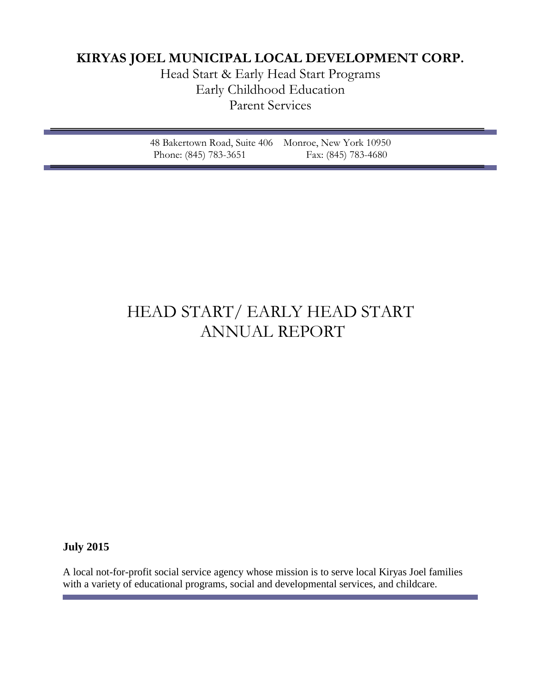## **KIRYAS JOEL MUNICIPAL LOCAL DEVELOPMENT CORP.**

Head Start & Early Head Start Programs Early Childhood Education Parent Services

| 48 Bakertown Road, Suite 406 Monroe, New York 10950 |                     |  |
|-----------------------------------------------------|---------------------|--|
| Phone: (845) 783-3651                               | Fax: (845) 783-4680 |  |

# HEAD START/ EARLY HEAD START ANNUAL REPORT

## **July 2015**

A local not-for-profit social service agency whose mission is to serve local Kiryas Joel families with a variety of educational programs, social and developmental services, and childcare.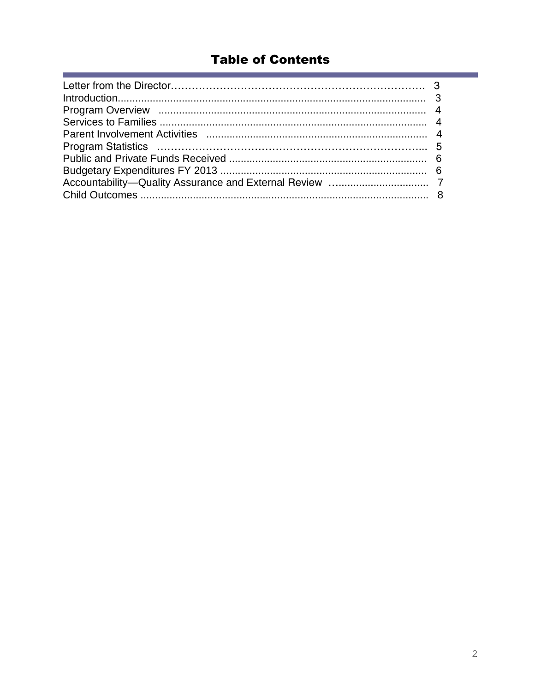## **Table of Contents**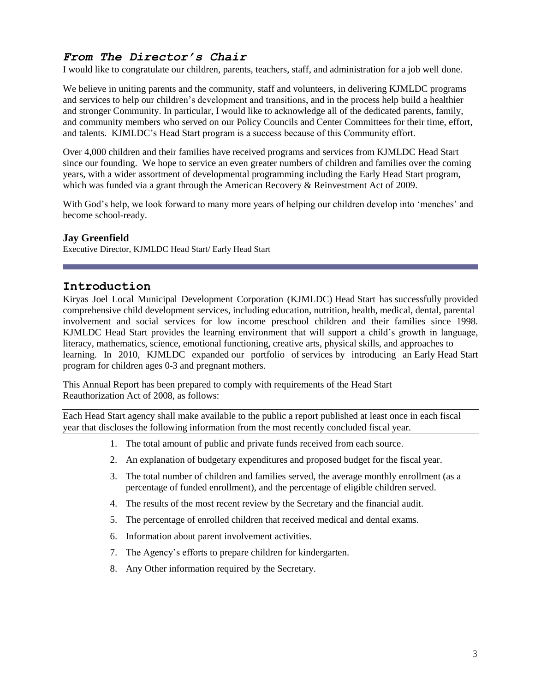## *From The Director's Chair*

I would like to congratulate our children, parents, teachers, staff, and administration for a job well done.

We believe in uniting parents and the community, staff and volunteers, in delivering KJMLDC programs and services to help our children's development and transitions, and in the process help build a healthier and stronger Community. In particular, I would like to acknowledge all of the dedicated parents, family, and community members who served on our Policy Councils and Center Committees for their time, effort, and talents. KJMLDC's Head Start program is a success because of this Community effort.

Over 4,000 children and their families have received programs and services from KJMLDC Head Start since our founding. We hope to service an even greater numbers of children and families over the coming years, with a wider assortment of developmental programming including the Early Head Start program, which was funded via a grant through the American Recovery & Reinvestment Act of 2009.

With God's help, we look forward to many more years of helping our children develop into 'menches' and become school-ready.

#### **Jay Greenfield**

Executive Director, KJMLDC Head Start/ Early Head Start

#### **Introduction**

Kiryas Joel Local Municipal Development Corporation (KJMLDC) Head Start has successfully provided comprehensive child development services, including education, nutrition, health, medical, dental, parental involvement and social services for low income preschool children and their families since 1998. KJMLDC Head Start provides the learning environment that will support a child's growth in language, literacy, mathematics, science, emotional functioning, creative arts, physical skills, and approaches to learning. In 2010, KJMLDC expanded our portfolio of services by introducing an Early Head Start program for children ages 0-3 and pregnant mothers.

This Annual Report has been prepared to comply with requirements of the Head Start Reauthorization Act of 2008, as follows:

Each Head Start agency shall make available to the public a report published at least once in each fiscal year that discloses the following information from the most recently concluded fiscal year.

- 1. The total amount of public and private funds received from each source.
- 2. An explanation of budgetary expenditures and proposed budget for the fiscal year.
- 3. The total number of children and families served, the average monthly enrollment (as a percentage of funded enrollment), and the percentage of eligible children served.
- 4. The results of the most recent review by the Secretary and the financial audit.
- 5. The percentage of enrolled children that received medical and dental exams.
- 6. Information about parent involvement activities.
- 7. The Agency's efforts to prepare children for kindergarten.
- 8. Any Other information required by the Secretary.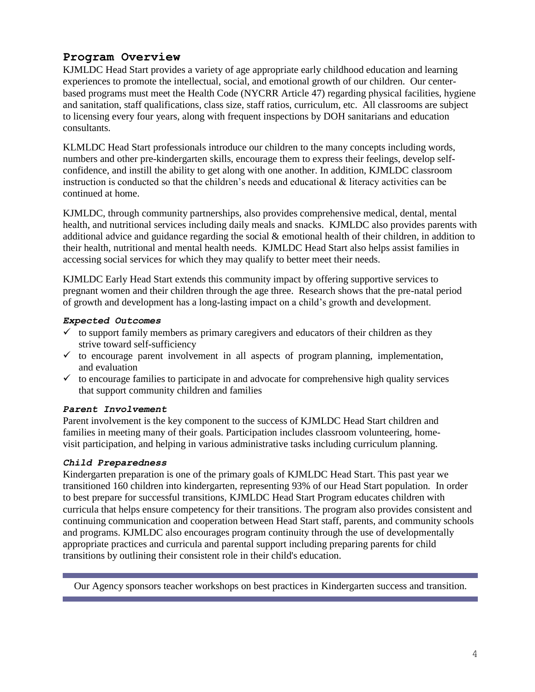## **Program Overview**

KJMLDC Head Start provides a variety of age appropriate early childhood education and learning experiences to promote the intellectual, social, and emotional growth of our children. Our centerbased programs must meet the Health Code (NYCRR Article 47) regarding physical facilities, hygiene and sanitation, staff qualifications, class size, staff ratios, curriculum, etc. All classrooms are subject to licensing every four years, along with frequent inspections by DOH sanitarians and education consultants.

KLMLDC Head Start professionals introduce our children to the many concepts including words, numbers and other pre-kindergarten skills, encourage them to express their feelings, develop selfconfidence, and instill the ability to get along with one another. In addition, KJMLDC classroom instruction is conducted so that the children's needs and educational  $\&$  literacy activities can be continued at home.

KJMLDC, through community partnerships, also provides comprehensive medical, dental, mental health, and nutritional services including daily meals and snacks. KJMLDC also provides parents with additional advice and guidance regarding the social  $\&$  emotional health of their children, in addition to their health, nutritional and mental health needs. KJMLDC Head Start also helps assist families in accessing social services for which they may qualify to better meet their needs.

KJMLDC Early Head Start extends this community impact by offering supportive services to pregnant women and their children through the age three. Research shows that the pre-natal period of growth and development has a long-lasting impact on a child's growth and development.

#### *Expected Outcomes*

- $\checkmark$  to support family members as primary caregivers and educators of their children as they strive toward self-sufficiency
- $\checkmark$  to encourage parent involvement in all aspects of program planning, implementation, and evaluation
- $\checkmark$  to encourage families to participate in and advocate for comprehensive high quality services that support community children and families

#### *Parent Involvement*

Parent involvement is the key component to the success of KJMLDC Head Start children and families in meeting many of their goals. Participation includes classroom volunteering, homevisit participation, and helping in various administrative tasks including curriculum planning.

#### *Child Preparedness*

Kindergarten preparation is one of the primary goals of KJMLDC Head Start. This past year we transitioned 160 children into kindergarten, representing 93% of our Head Start population. In order to best prepare for successful transitions, KJMLDC Head Start Program educates children with curricula that helps ensure competency for their transitions. The program also provides consistent and continuing communication and cooperation between Head Start staff, parents, and community schools and programs. KJMLDC also encourages program continuity through the use of developmentally appropriate practices and curricula and parental support including preparing parents for child transitions by outlining their consistent role in their child's education.

Our Agency sponsors teacher workshops on best practices in Kindergarten success and transition.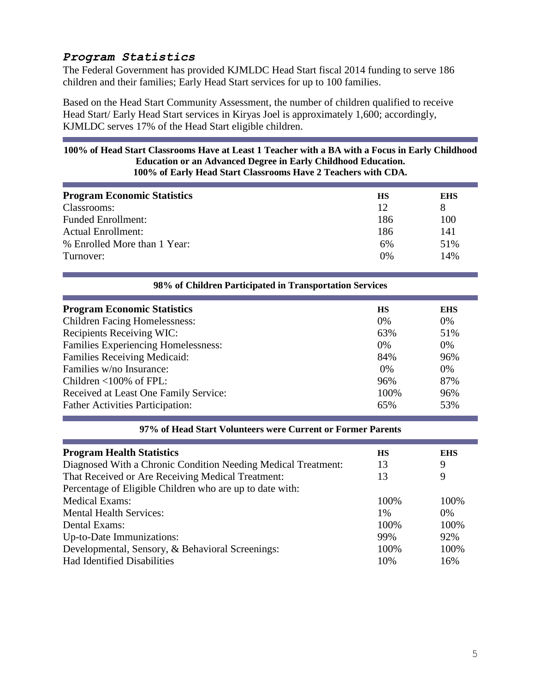## *Program Statistics*

The Federal Government has provided KJMLDC Head Start fiscal 2014 funding to serve 186 children and their families; Early Head Start services for up to 100 families.

Based on the Head Start Community Assessment, the number of children qualified to receive Head Start/ Early Head Start services in Kiryas Joel is approximately 1,600; accordingly, KJMLDC serves 17% of the Head Start eligible children.

#### **100% of Head Start Classrooms Have at Least 1 Teacher with a BA with a Focus in Early Childhood Education or an Advanced Degree in Early Childhood Education. 100% of Early Head Start Classrooms Have 2 Teachers with CDA.**

| <b>Program Economic Statistics</b> | HS  | <b>EHS</b> |
|------------------------------------|-----|------------|
| Classrooms:                        | 12  | 8          |
| <b>Funded Enrollment:</b>          | 186 | 100        |
| <b>Actual Enrollment:</b>          | 186 | 141        |
| % Enrolled More than 1 Year:       | 6%  | 51%        |
| Turnover:                          | 0%  | 14%        |
|                                    |     |            |

| 98% of Children Participated in Transportation Services |           |            |  |
|---------------------------------------------------------|-----------|------------|--|
| <b>Program Economic Statistics</b>                      | <b>HS</b> | <b>EHS</b> |  |
| <b>Children Facing Homelessness:</b>                    | $0\%$     | $0\%$      |  |
| <b>Recipients Receiving WIC:</b>                        | 63%       | 51%        |  |
| <b>Families Experiencing Homelessness:</b>              | 0%        | $0\%$      |  |
| <b>Families Receiving Medicaid:</b>                     | 84%       | 96%        |  |
| Families w/no Insurance:                                | $0\%$     | $0\%$      |  |
| Children $\leq 100\%$ of FPL:                           | 96%       | 87%        |  |
| Received at Least One Family Service:                   | 100%      | 96%        |  |
| <b>Father Activities Participation:</b>                 | 65%       | 53%        |  |

|  |  | 97% of Head Start Volunteers were Current or Former Parents |  |  |  |
|--|--|-------------------------------------------------------------|--|--|--|
|  |  |                                                             |  |  |  |

| <b>Program Health Statistics</b>                              | <b>HS</b> | <b>EHS</b> |
|---------------------------------------------------------------|-----------|------------|
| Diagnosed With a Chronic Condition Needing Medical Treatment: | 13        | 9          |
| That Received or Are Receiving Medical Treatment:             | 13        | 9          |
| Percentage of Eligible Children who are up to date with:      |           |            |
| <b>Medical Exams:</b>                                         | 100%      | 100%       |
| <b>Mental Health Services:</b>                                | 1%        | $0\%$      |
| Dental Exams:                                                 | 100%      | 100%       |
| Up-to-Date Immunizations:                                     | 99%       | 92%        |
| Developmental, Sensory, & Behavioral Screenings:              | 100%      | 100%       |
| <b>Had Identified Disabilities</b>                            | 10%       | 16%        |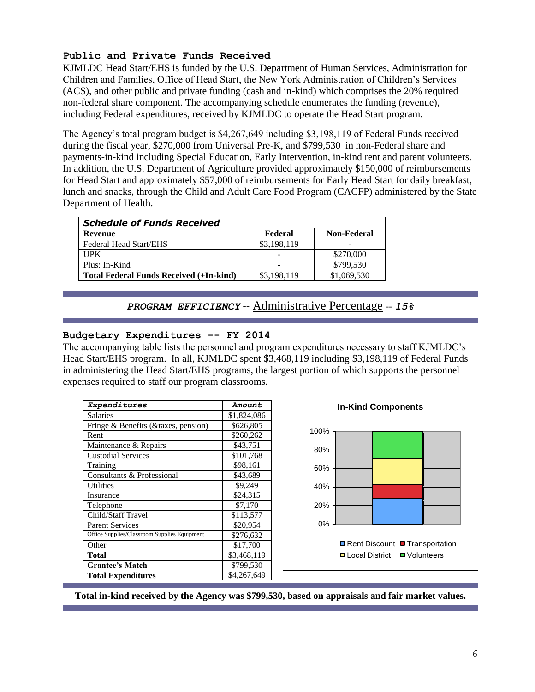#### **Public and Private Funds Received**

KJMLDC Head Start/EHS is funded by the U.S. Department of Human Services, Administration for Children and Families, Office of Head Start, the New York Administration of Children's Services (ACS), and other public and private funding (cash and in-kind) which comprises the 20% required non-federal share component. The accompanying schedule enumerates the funding (revenue), including Federal expenditures, received by KJMLDC to operate the Head Start program.

The Agency's total program budget is \$4,267,649 including \$3,198,119 of Federal Funds received during the fiscal year, \$270,000 from Universal Pre-K, and \$799,530 in non-Federal share and payments-in-kind including Special Education, Early Intervention, in-kind rent and parent volunteers. In addition, the U.S. Department of Agriculture provided approximately \$150,000 of reimbursements for Head Start and approximately \$57,000 of reimbursements for Early Head Start for daily breakfast, lunch and snacks, through the Child and Adult Care Food Program (CACFP) administered by the State Department of Health.

| <b>Schedule of Funds Received</b>              |             |                    |  |  |
|------------------------------------------------|-------------|--------------------|--|--|
| Revenue                                        | Federal     | <b>Non-Federal</b> |  |  |
| Federal Head Start/EHS                         | \$3,198,119 |                    |  |  |
| TPK                                            |             | \$270,000          |  |  |
| Plus: In-Kind                                  |             | \$799,530          |  |  |
| <b>Total Federal Funds Received (+In-kind)</b> | \$3,198,119 | \$1,069,530        |  |  |

### *PROGRAM EFFICIENCY* -- Administrative Percentage -- *15%*

#### **Budgetary Expenditures -- FY 2014**

The accompanying table lists the personnel and program expenditures necessary to staff KJMLDC's Head Start/EHS program. In all, KJMLDC spent \$3,468,119 including \$3,198,119 of Federal Funds in administering the Head Start/EHS programs, the largest portion of which supports the personnel expenses required to staff our program classrooms.

| <i><b>Expenditures</b></i>                   | Amount      |
|----------------------------------------------|-------------|
| <b>Salaries</b>                              | \$1,824,086 |
| Fringe & Benefits (& taxes, pension)         | \$626,805   |
| Rent                                         | \$260,262   |
| Maintenance & Repairs                        | \$43,751    |
| <b>Custodial Services</b>                    | \$101,768   |
| Training                                     | \$98,161    |
| Consultants & Professional                   | \$43,689    |
| <b>Utilities</b>                             | \$9,249     |
| Insurance                                    | \$24,315    |
| Telephone                                    | \$7,170     |
| Child/Staff Travel                           | \$113,577   |
| <b>Parent Services</b>                       | \$20,954    |
| Office Supplies/Classroom Supplies Equipment | \$276,632   |
| Other                                        | \$17,700    |
| Total                                        | \$3,468,119 |
| <b>Grantee's Match</b>                       | \$799,530   |
| <b>Total Expenditures</b>                    | \$4,267,649 |



**Total in-kind received by the Agency was \$799,530, based on appraisals and fair market values.**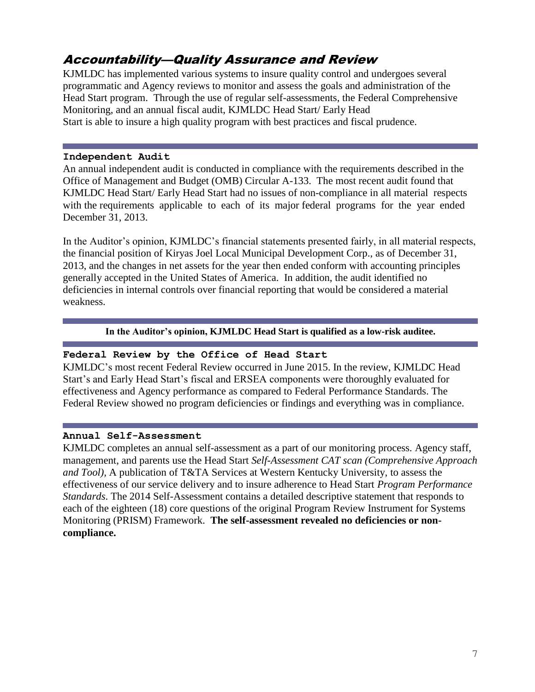## Accountability—Quality Assurance and Review

KJMLDC has implemented various systems to insure quality control and undergoes several programmatic and Agency reviews to monitor and assess the goals and administration of the Head Start program. Through the use of regular self-assessments, the Federal Comprehensive Monitoring, and an annual fiscal audit, KJMLDC Head Start/ Early Head Start is able to insure a high quality program with best practices and fiscal prudence.

#### **Independent Audit**

An annual independent audit is conducted in compliance with the requirements described in the Office of Management and Budget (OMB) Circular A-133. The most recent audit found that KJMLDC Head Start/ Early Head Start had no issues of non-compliance in all material respects with the requirements applicable to each of its major federal programs for the year ended December 31, 2013.

In the Auditor's opinion, KJMLDC's financial statements presented fairly, in all material respects, the financial position of Kiryas Joel Local Municipal Development Corp., as of December 31, 2013, and the changes in net assets for the year then ended conform with accounting principles generally accepted in the United States of America. In addition, the audit identified no deficiencies in internal controls over financial reporting that would be considered a material weakness.

#### **In the Auditor's opinion, KJMLDC Head Start is qualified as a low-risk auditee.**

#### **Federal Review by the Office of Head Start**

KJMLDC's most recent Federal Review occurred in June 2015. In the review, KJMLDC Head Start's and Early Head Start's fiscal and ERSEA components were thoroughly evaluated for effectiveness and Agency performance as compared to Federal Performance Standards. The Federal Review showed no program deficiencies or findings and everything was in compliance.

#### **Annual Self-Assessment**

KJMLDC completes an annual self-assessment as a part of our monitoring process. Agency staff, management, and parents use the Head Start *Self-Assessment CAT scan (Comprehensive Approach and Tool),* A publication of T&TA Services at Western Kentucky University, to assess the effectiveness of our service delivery and to insure adherence to Head Start *Program Performance Standards*. The 2014 Self-Assessment contains a detailed descriptive statement that responds to each of the eighteen (18) core questions of the original Program Review Instrument for Systems Monitoring (PRISM) Framework. **The self-assessment revealed no deficiencies or noncompliance.**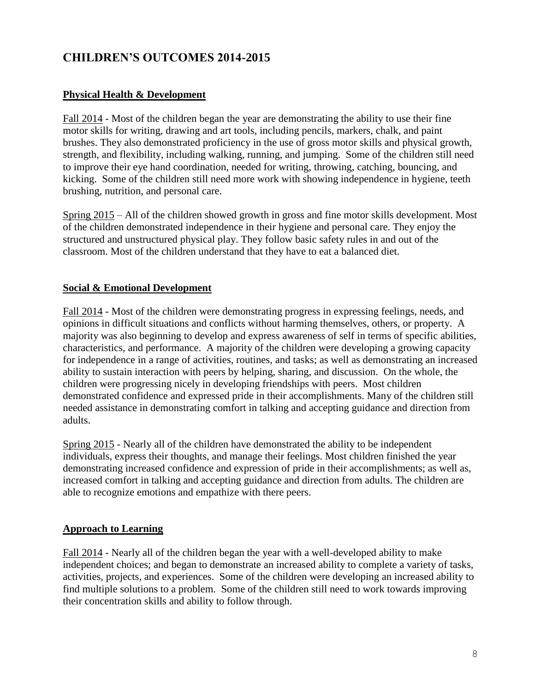## **CHILDREN'S OUTCOMES 2014-2015**

#### **Physical Health & Development**

Fall 2014 - Most of the children began the year are demonstrating the ability to use their fine motor skills for writing, drawing and art tools, including pencils, markers, chalk, and paint brushes. They also demonstrated proficiency in the use of gross motor skills and physical growth, strength, and flexibility, including walking, running, and jumping. Some of the children still need to improve their eye hand coordination, needed for writing, throwing, catching, bouncing, and kicking. Some of the children still need more work with showing independence in hygiene, teeth brushing, nutrition, and personal care.

Spring 2015 – All of the children showed growth in gross and fine motor skills development. Most of the children demonstrated independence in their hygiene and personal care. They enjoy the structured and unstructured physical play. They follow basic safety rules in and out of the classroom. Most of the children understand that they have to eat a balanced diet.

#### **Social & Emotional Development**

Fall 2014 - Most of the children were demonstrating progress in expressing feelings, needs, and opinions in difficult situations and conflicts without harming themselves, others, or property. A majority was also beginning to develop and express awareness of self in terms of specific abilities, characteristics, and performance. A majority of the children were developing a growing capacity for independence in a range of activities, routines, and tasks; as well as demonstrating an increased ability to sustain interaction with peers by helping, sharing, and discussion. On the whole, the children were progressing nicely in developing friendships with peers. Most children demonstrated confidence and expressed pride in their accomplishments. Many of the children still needed assistance in demonstrating comfort in talking and accepting guidance and direction from adults.

Spring 2015 - Nearly all of the children have demonstrated the ability to be independent individuals, express their thoughts, and manage their feelings. Most children finished the year demonstrating increased confidence and expression of pride in their accomplishments; as well as, increased comfort in talking and accepting guidance and direction from adults. The children are able to recognize emotions and empathize with there peers.

#### **Approach to Learning**

Fall 2014 - Nearly all of the children began the year with a well-developed ability to make independent choices; and began to demonstrate an increased ability to complete a variety of tasks, activities, projects, and experiences. Some of the children were developing an increased ability to find multiple solutions to a problem. Some of the children still need to work towards improving their concentration skills and ability to follow through.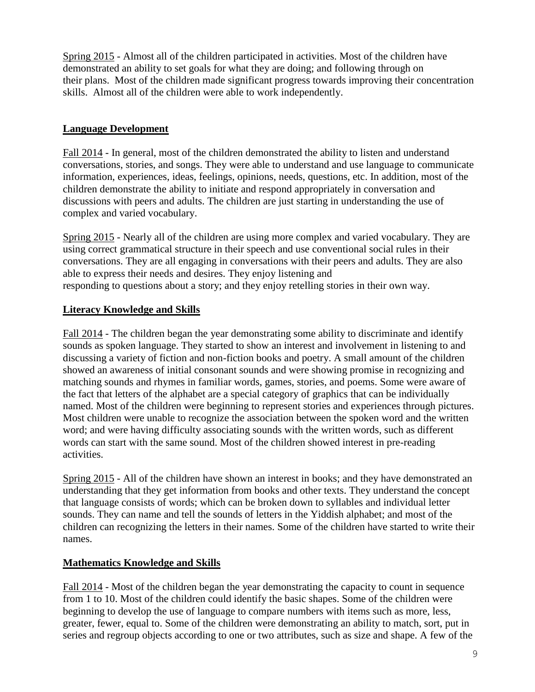Spring 2015 - Almost all of the children participated in activities. Most of the children have demonstrated an ability to set goals for what they are doing; and following through on their plans. Most of the children made significant progress towards improving their concentration skills. Almost all of the children were able to work independently.

## **Language Development**

Fall 2014 - In general, most of the children demonstrated the ability to listen and understand conversations, stories, and songs. They were able to understand and use language to communicate information, experiences, ideas, feelings, opinions, needs, questions, etc. In addition, most of the children demonstrate the ability to initiate and respond appropriately in conversation and discussions with peers and adults. The children are just starting in understanding the use of complex and varied vocabulary.

Spring 2015 - Nearly all of the children are using more complex and varied vocabulary. They are using correct grammatical structure in their speech and use conventional social rules in their conversations. They are all engaging in conversations with their peers and adults. They are also able to express their needs and desires. They enjoy listening and responding to questions about a story; and they enjoy retelling stories in their own way.

## **Literacy Knowledge and Skills**

Fall 2014 - The children began the year demonstrating some ability to discriminate and identify sounds as spoken language. They started to show an interest and involvement in listening to and discussing a variety of fiction and non-fiction books and poetry. A small amount of the children showed an awareness of initial consonant sounds and were showing promise in recognizing and matching sounds and rhymes in familiar words, games, stories, and poems. Some were aware of the fact that letters of the alphabet are a special category of graphics that can be individually named. Most of the children were beginning to represent stories and experiences through pictures. Most children were unable to recognize the association between the spoken word and the written word; and were having difficulty associating sounds with the written words, such as different words can start with the same sound. Most of the children showed interest in pre-reading activities.

Spring 2015 - All of the children have shown an interest in books; and they have demonstrated an understanding that they get information from books and other texts. They understand the concept that language consists of words; which can be broken down to syllables and individual letter sounds. They can name and tell the sounds of letters in the Yiddish alphabet; and most of the children can recognizing the letters in their names. Some of the children have started to write their names.

## **Mathematics Knowledge and Skills**

Fall 2014 - Most of the children began the year demonstrating the capacity to count in sequence from 1 to 10. Most of the children could identify the basic shapes. Some of the children were beginning to develop the use of language to compare numbers with items such as more, less, greater, fewer, equal to. Some of the children were demonstrating an ability to match, sort, put in series and regroup objects according to one or two attributes, such as size and shape. A few of the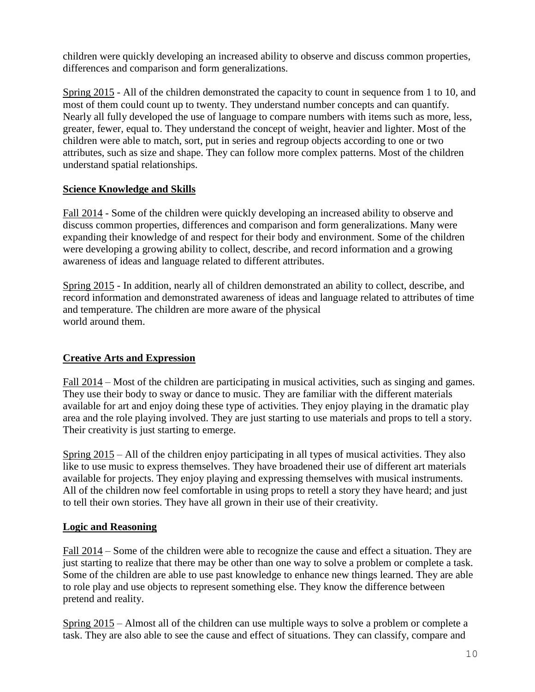children were quickly developing an increased ability to observe and discuss common properties, differences and comparison and form generalizations.

Spring 2015 - All of the children demonstrated the capacity to count in sequence from 1 to 10, and most of them could count up to twenty. They understand number concepts and can quantify. Nearly all fully developed the use of language to compare numbers with items such as more, less, greater, fewer, equal to. They understand the concept of weight, heavier and lighter. Most of the children were able to match, sort, put in series and regroup objects according to one or two attributes, such as size and shape. They can follow more complex patterns. Most of the children understand spatial relationships.

## **Science Knowledge and Skills**

Fall 2014 - Some of the children were quickly developing an increased ability to observe and discuss common properties, differences and comparison and form generalizations. Many were expanding their knowledge of and respect for their body and environment. Some of the children were developing a growing ability to collect, describe, and record information and a growing awareness of ideas and language related to different attributes.

Spring 2015 - In addition, nearly all of children demonstrated an ability to collect, describe, and record information and demonstrated awareness of ideas and language related to attributes of time and temperature. The children are more aware of the physical world around them.

## **Creative Arts and Expression**

Fall 2014 – Most of the children are participating in musical activities, such as singing and games. They use their body to sway or dance to music. They are familiar with the different materials available for art and enjoy doing these type of activities. They enjoy playing in the dramatic play area and the role playing involved. They are just starting to use materials and props to tell a story. Their creativity is just starting to emerge.

Spring 2015 – All of the children enjoy participating in all types of musical activities. They also like to use music to express themselves. They have broadened their use of different art materials available for projects. They enjoy playing and expressing themselves with musical instruments. All of the children now feel comfortable in using props to retell a story they have heard; and just to tell their own stories. They have all grown in their use of their creativity.

#### **Logic and Reasoning**

Fall 2014 – Some of the children were able to recognize the cause and effect a situation. They are just starting to realize that there may be other than one way to solve a problem or complete a task. Some of the children are able to use past knowledge to enhance new things learned. They are able to role play and use objects to represent something else. They know the difference between pretend and reality.

Spring 2015 – Almost all of the children can use multiple ways to solve a problem or complete a task. They are also able to see the cause and effect of situations. They can classify, compare and